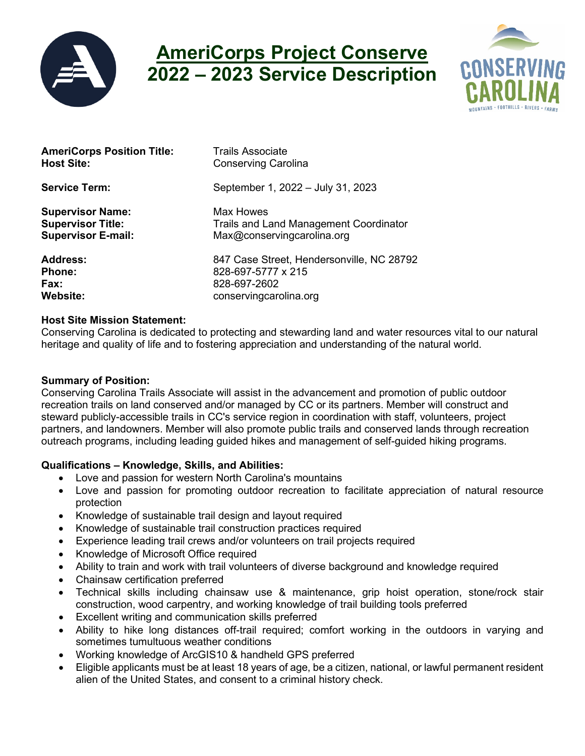

# **AmeriCorps Project Conserve 2022 – 2023 Service Description**



| <b>AmeriCorps Position Title:</b> | <b>Trails Associate</b>                       |
|-----------------------------------|-----------------------------------------------|
| <b>Host Site:</b>                 | <b>Conserving Carolina</b>                    |
| <b>Service Term:</b>              | September 1, 2022 - July 31, 2023             |
| <b>Supervisor Name:</b>           | <b>Max Howes</b>                              |
| <b>Supervisor Title:</b>          | <b>Trails and Land Management Coordinator</b> |
| <b>Supervisor E-mail:</b>         | Max@conservingcarolina.org                    |
| <b>Address:</b>                   | 847 Case Street, Hendersonville, NC 28792     |
| <b>Phone:</b>                     | 828-697-5777 x 215                            |
| Fax:                              | 828-697-2602                                  |
| <b>Website:</b>                   | conservingcarolina.org                        |

#### **Host Site Mission Statement:**

Conserving Carolina is dedicated to protecting and stewarding land and water resources vital to our natural heritage and quality of life and to fostering appreciation and understanding of the natural world.

#### **Summary of Position:**

Conserving Carolina Trails Associate will assist in the advancement and promotion of public outdoor recreation trails on land conserved and/or managed by CC or its partners. Member will construct and steward publicly-accessible trails in CC's service region in coordination with staff, volunteers, project partners, and landowners. Member will also promote public trails and conserved lands through recreation outreach programs, including leading guided hikes and management of self-guided hiking programs.

## **Qualifications – Knowledge, Skills, and Abilities:**

- Love and passion for western North Carolina's mountains
- Love and passion for promoting outdoor recreation to facilitate appreciation of natural resource protection
- Knowledge of sustainable trail design and layout required
- Knowledge of sustainable trail construction practices required
- Experience leading trail crews and/or volunteers on trail projects required
- Knowledge of Microsoft Office required
- Ability to train and work with trail volunteers of diverse background and knowledge required
- Chainsaw certification preferred
- Technical skills including chainsaw use & maintenance, grip hoist operation, stone/rock stair construction, wood carpentry, and working knowledge of trail building tools preferred
- Excellent writing and communication skills preferred
- Ability to hike long distances off-trail required; comfort working in the outdoors in varying and sometimes tumultuous weather conditions
- Working knowledge of ArcGIS10 & handheld GPS preferred
- Eligible applicants must be at least 18 years of age, be a citizen, national, or lawful permanent resident alien of the United States, and consent to a criminal history check.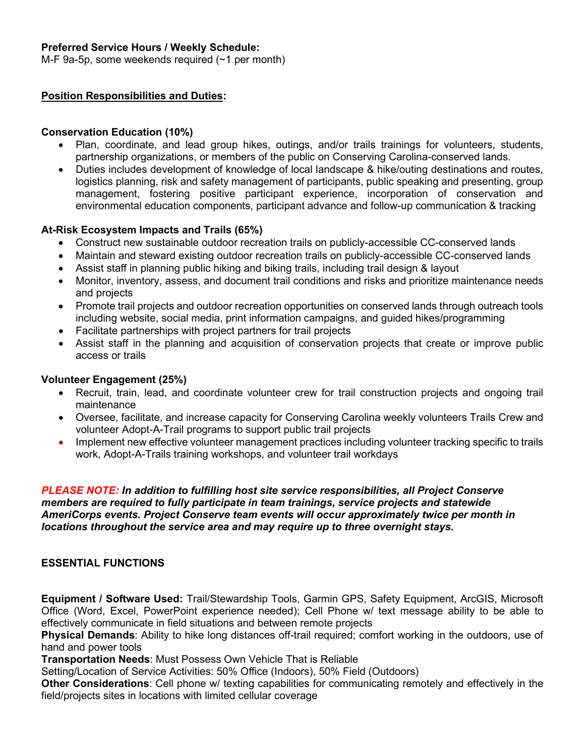## **Preferred Service Hours / Weekly Schedule:**

M-F 9a-5p, some weekends required (~1 per month)

#### **Position Responsibilities and Duties:**

## **Conservation Education (10%)**

- Plan, coordinate, and lead group hikes, outings, and/or trails trainings for volunteers, students, partnership organizations, or members of the public on Conserving Carolina-conserved lands.
- Duties includes development of knowledge of local landscape & hike/outing destinations and routes, logistics planning, risk and safety management of participants, public speaking and presenting, group management, fostering positive participant experience, incorporation of conservation and environmental education components, participant advance and follow-up communication & tracking

## **At-Risk Ecosystem Impacts and Trails (65%)**

- Construct new sustainable outdoor recreation trails on publicly-accessible CC-conserved lands
- Maintain and steward existing outdoor recreation trails on publicly-accessible CC-conserved lands
- Assist staff in planning public hiking and biking trails, including trail design & layout
- Monitor, inventory, assess, and document trail conditions and risks and prioritize maintenance needs and projects
- Promote trail projects and outdoor recreation opportunities on conserved lands through outreach tools including website, social media, print information campaigns, and guided hikes/programming
- Facilitate partnerships with project partners for trail projects
- Assist staff in the planning and acquisition of conservation projects that create or improve public access or trails

#### **Volunteer Engagement (25%)**

- Recruit, train, lead, and coordinate volunteer crew for trail construction projects and ongoing trail maintenance
- Oversee, facilitate, and increase capacity for Conserving Carolina weekly volunteers Trails Crew and volunteer Adopt-A-Trail programs to support public trail projects
- Implement new effective volunteer management practices including volunteer tracking specific to trails work, Adopt-A-Trails training workshops, and volunteer trail workdays

#### *PLEASE NOTE: In addition to fulfilling host site service responsibilities, all Project Conserve members are required to fully participate in team trainings, service projects and statewide AmeriCorps events. Project Conserve team events will occur approximately twice per month in locations throughout the service area and may require up to three overnight stays.*

## **ESSENTIAL FUNCTIONS**

**Equipment / Software Used:** Trail/Stewardship Tools, Garmin GPS, Safety Equipment, ArcGIS, Microsoft Office (Word, Excel, PowerPoint experience needed); Cell Phone w/ text message ability to be able to effectively communicate in field situations and between remote projects

**Physical Demands**: Ability to hike long distances off-trail required; comfort working in the outdoors, use of hand and power tools

**Transportation Needs**: Must Possess Own Vehicle That is Reliable

Setting/Location of Service Activities: 50% Office (Indoors), 50% Field (Outdoors)

**Other Considerations**: Cell phone w/ texting capabilities for communicating remotely and effectively in the field/projects sites in locations with limited cellular coverage